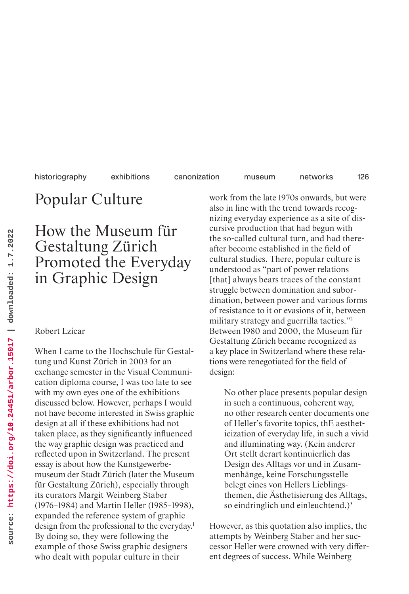Popular Culture

# How the Museum für Gestaltung Zürich Promoted the Everyday in Graphic Design

### Robert Lzicar

When I came to the Hochschule für Gestaltung und Kunst Zürich in 2003 for an exchange semester in the Visual Communication diploma course, I was too late to see with my own eyes one of the exhibitions discussed below. However, perhaps I would not have become interested in Swiss graphic design at all if these exhibitions had not taken place, as they significantly influenced the way graphic design was practiced and reflected upon in Switzerland. The present essay is about how the Kunstgewerbemuseum der Stadt Zürich (later the Museum für Gestaltung Zürich), especially through its curators Margit Weinberg Staber (1976–1984) and Martin Heller (1985–1998), expanded the reference system of graphic design from the professional to the everyday.<sup>1</sup> By doing so, they were following the example of those Swiss graphic designers who dealt with popular culture in their

work from the late 1970s onwards, but were also in line with the trend towards recognizing everyday experience as a site of discursive production that had begun with the so-called cultural turn, and had thereafter become established in the field of cultural studies. There, popular culture is understood as "part of power relations [that] always bears traces of the constant struggle between domination and subordination, between power and various forms of resistance to it or evasions of it, between military strategy and guerrilla tactics."<sup>2</sup> Between 1980 and 2000, the Museum für Gestaltung Zürich became recognized as a key place in Switzerland where these relations were renegotiated for the field of design:

No other place presents popular design in such a continuous, coherent way, no other research center documents one of Heller's favorite topics, thE aestheticization of everyday life, in such a vivid and illuminating way. (Kein anderer Ort stellt derart kontinuierlich das Design des Alltags vor und in Zusammenhänge, keine Forschungsstelle belegt eines von Hellers Lieblingsthemen, die Ästhetisierung des Alltags, so eindringlich und einleuchtend.) $3$ 

However, as this quotation also implies, the attempts by Weinberg Staber and her successor Heller were crowned with very different degrees of success. While Weinberg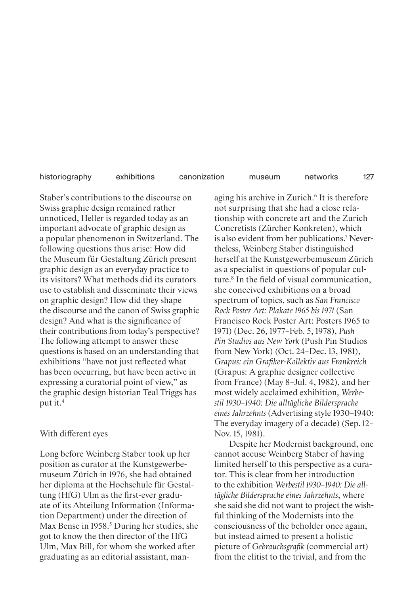127

Staber's contributions to the discourse on Swiss graphic design remained rather unnoticed, Heller is regarded today as an important advocate of graphic design as a popular phenomenon in Switzerland. The following questions thus arise: How did the Museum für Gestaltung Zürich present graphic design as an everyday practice to its visitors? What methods did its curators use to establish and disseminate their views on graphic design? How did they shape the discourse and the canon of Swiss graphic design? And what is the significance of their contributions from today's perspective? The following attempt to answer these questions is based on an understanding that exhibitions "have not just reflected what has been occurring, but have been active in expressing a curatorial point of view," as the graphic design historian Teal Triggs has put it.<sup>4</sup>

# With different eyes

Long before Weinberg Staber took up her position as curator at the Kunstgewerbemuseum Zürich in 1976, she had obtained her diploma at the Hochschule für Gestaltung (HfG) Ulm as the first-ever graduate of its Abteilung Information (Information Department) under the direction of Max Bense in 1958. 5 During her studies, she got to know the then director of the HfG Ulm, Max Bill, for whom she worked after graduating as an editorial assistant, man-

aging his archive in Zurich.<sup>6</sup> It is therefore not surprising that she had a close relationship with concrete art and the Zurich Concretists (Zürcher Konkreten), which is also evident from her publications.7 Nevertheless, Weinberg Staber distinguished herself at the Kunstgewerbemuseum Zürich as a specialist in questions of popular culture.8 In the field of visual communication, she conceived exhibitions on a broad spectrum of topics, such as *San Francisco Rock Poster Art: Plakate 1965 bis 1971* (San Francisco Rock Poster Art: Posters 1965 to 1971) (Dec. 26, 1977–Feb. 5, 1978), *Push Pin Studios aus New York* (Push Pin Studios from New York) (Oct. 24–Dec. 13, 1981), *Grapus: ein Grafiker-Kollektiv aus Frankreich* (Grapus: A graphic designer collective from France) (May 8–Jul. 4, 1982), and her most widely acclaimed exhibition, *Werbestil 1930–1940: Die alltägliche Bildersprache eines Jahrzehnts* (Advertising style 1930–1940: The everyday imagery of a decade) (Sep. 12– Nov. 15, 1981).

Despite her Modernist background, one cannot accuse Weinberg Staber of having limited herself to this perspective as a curator. This is clear from her introduction to the exhibition *Werbestil 1930–1940: Die alltägliche Bildersprache eines Jahrzehnts*, where she said she did not want to project the wishful thinking of the Modernists into the consciousness of the beholder once again, but instead aimed to present a holistic picture of *Gebrauchsgrafik* (commercial art) from the elitist to the trivial, and from the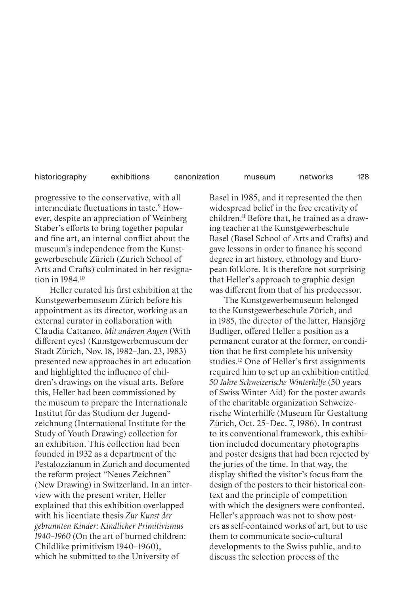progressive to the conservative, with all intermediate fluctuations in taste.<sup>9</sup> However, despite an appreciation of Weinberg Staber's efforts to bring together popular and fine art, an internal conflict about the museum's independence from the Kunstgewerbeschule Zürich (Zurich School of Arts and Crafts) culminated in her resignation in 1984.10

Heller curated his first exhibition at the Kunstgewerbemuseum Zürich before his appointment as its director, working as an external curator in collaboration with Claudia Cattaneo. *Mit anderen Augen* (With different eyes) (Kunstgewerbemuseum der Stadt Zürich, Nov. 18, 1982–Jan. 23, 1983) presented new approaches in art education and highlighted the influence of children's drawings on the visual arts. Before this, Heller had been commissioned by the museum to prepare the Internationale Institut für das Studium der Jugendzeichnung (International Institute for the Study of Youth Drawing) collection for an exhibition. This collection had been founded in 1932 as a department of the Pestalozzianum in Zurich and documented the reform project "Neues Zeichnen" (New Drawing) in Switzerland. In an interview with the present writer, Heller explained that this exhibition overlapped with his licentiate thesis *Zur Kunst der gebrannten Kinder: Kindlicher Primitivismus 1940–1960* (On the art of burned children: Childlike primitivism 1940–1960), which he submitted to the University of

Basel in 1985, and it represented the then widespread belief in the free creativity of children.11 Before that, he trained as a drawing teacher at the Kunstgewerbeschule Basel (Basel School of Arts and Crafts) and gave lessons in order to finance his second degree in art history, ethnology and European folklore. It is therefore not surprising that Heller's approach to graphic design was different from that of his predecessor.

The Kunstgewerbemuseum belonged to the Kunstgewerbeschule Zürich, and in 1985, the director of the latter, Hansjörg Budliger, offered Heller a position as a permanent curator at the former, on condition that he first complete his university studies.12 One of Heller's first assignments required him to set up an exhibition entitled *50 Jahre Schweizerische Winterhilfe* (50 years of Swiss Winter Aid) for the poster awards of the charitable organization Schweizerische Winterhilfe (Museum für Gestaltung Zürich, Oct. 25–Dec. 7, 1986). In contrast to its conventional framework, this exhibition included documentary photographs and poster designs that had been rejected by the juries of the time. In that way, the display shifted the visitor's focus from the design of the posters to their historical context and the principle of competition with which the designers were confronted. Heller's approach was not to show posters as self-contained works of art, but to use them to communicate socio-cultural developments to the Swiss public, and to discuss the selection process of the

128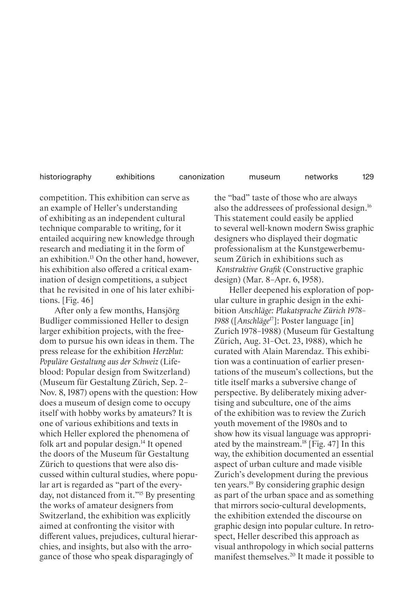129

competition. This exhibition can serve as an example of Heller's understanding of exhibiting as an independent cultural technique comparable to writing, for it entailed acquiring new knowledge through research and mediating it in the form of an exhibition.13 On the other hand, however, his exhibition also offered a critical examination of design competitions, a subject that he revisited in one of his later exhibitions. [Fig. 46]

After only a few months, Hansjörg Budliger commissioned Heller to design larger exhibition projects, with the freedom to pursue his own ideas in them. The press release for the exhibition *Herzblut: Populäre Gestaltung aus der Schweiz* (Lifeblood: Popular design from Switzerland) (Museum für Gestaltung Zürich, Sep. 2– Nov. 8, 1987) opens with the question: How does a museum of design come to occupy itself with hobby works by amateurs? It is one of various exhibitions and texts in which Heller explored the phenomena of folk art and popular design.<sup>14</sup> It opened the doors of the Museum für Gestaltung Zürich to questions that were also discussed within cultural studies, where popular art is regarded as "part of the everyday, not distanced from it."15 By presenting the works of amateur designers from Switzerland, the exhibition was explicitly aimed at confronting the visitor with different values, prejudices, cultural hierarchies, and insights, but also with the arrogance of those who speak disparagingly of

the "bad" taste of those who are always also the addressees of professional design.16 This statement could easily be applied to several well-known modern Swiss graphic designers who displayed their dogmatic professionalism at the Kunstgewerbemuseum Zürich in exhibitions such as *Konstruktive Grafik* (Constructive graphic design) (Mar. 8–Apr. 6, 1958).

Heller deepened his exploration of popular culture in graphic design in the exhibition *Anschläge: Plakatsprache Zürich 1978– 1988* ([*Anschläge*17]: Poster language [in] Zurich 1978–1988) (Museum für Gestaltung Zürich, Aug. 31–Oct. 23, 1988), which he curated with Alain Marendaz. This exhibition was a continuation of earlier presentations of the museum's collections, but the title itself marks a subversive change of perspective. By deliberately mixing advertising and subculture, one of the aims of the exhibition was to review the Zurich youth movement of the 1980s and to show how its visual language was appropriated by the mainstream.18 [Fig. 47] In this way, the exhibition documented an essential aspect of urban culture and made visible Zurich's development during the previous ten years.19 By considering graphic design as part of the urban space and as something that mirrors socio-cultural developments, the exhibition extended the discourse on graphic design into popular culture. In retrospect, Heller described this approach as visual anthropology in which social patterns manifest themselves.20 It made it possible to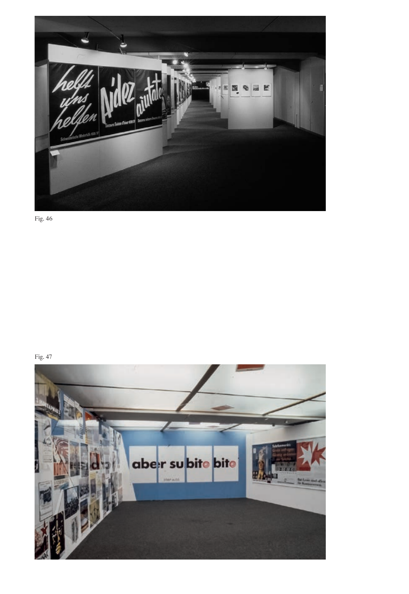

Fig. 46

Fig. 47

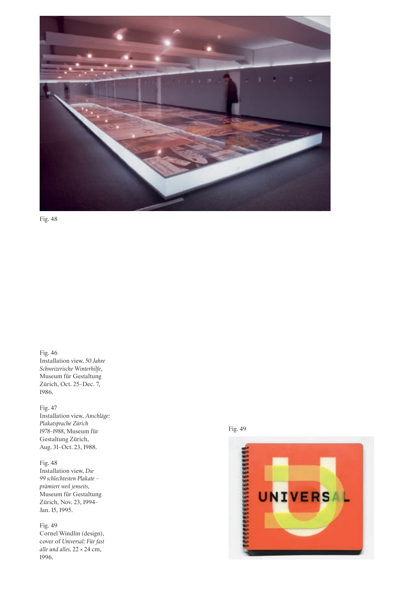

Fig. 48

Fig. 46 Installation view, *50 Jahre Schweizerische Winterhilfe*, Museum für Gestaltung Zürich, Oct. 25–Dec. 7, 1986.

Fig. 47 Installation view, *Anschläge: Plakatsprache Zürich 1978–1988*, Museum für Gestaltung Zürich, Aug. 31–Oct. 23, 1988.

Fig. 48 Installation view, *Die 99 schlechtesten Plakate – prämiert weil jenseits,* Museum für Gestaltung Zürich, Nov. 23, 1994– Jan. 15, 1995.

Fig. 49 Cornel Windlin (design), cover of *Universal: Für fast alle und alles,* 22 × 24 cm, 1996.

Fig. 49

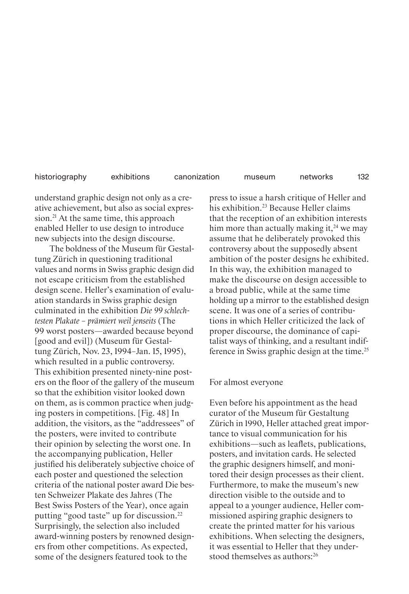understand graphic design not only as a creative achievement, but also as social expression.<sup>21</sup> At the same time, this approach enabled Heller to use design to introduce new subjects into the design discourse.

The boldness of the Museum für Gestaltung Zürich in questioning traditional values and norms in Swiss graphic design did not escape criticism from the established design scene. Heller's examination of evaluation standards in Swiss graphic design culminated in the exhibition *Die 99 schlechtesten Plakate – prämiert weil jenseits* (The 99 worst posters—awarded because beyond [good and evil]) (Museum für Gestaltung Zürich, Nov. 23, 1994–Jan. 15, 1995), which resulted in a public controversy. This exhibition presented ninety-nine posters on the floor of the gallery of the museum so that the exhibition visitor looked down on them, as is common practice when judging posters in competitions. [Fig. 48] In addition, the visitors, as the "addressees" of the posters, were invited to contribute their opinion by selecting the worst one. In the accompanying publication, Heller justified his deliberately subjective choice of each poster and questioned the selection criteria of the national poster award Die besten Schweizer Plakate des Jahres (The Best Swiss Posters of the Year), once again putting "good taste" up for discussion.22 Surprisingly, the selection also included award-winning posters by renowned designers from other competitions. As expected, some of the designers featured took to the

press to issue a harsh critique of Heller and his exhibition.<sup>23</sup> Because Heller claims that the reception of an exhibition interests him more than actually making it,<sup>24</sup> we may assume that he deliberately provoked this controversy about the supposedly absent ambition of the poster designs he exhibited. In this way, the exhibition managed to make the discourse on design accessible to a broad public, while at the same time holding up a mirror to the established design scene. It was one of a series of contributions in which Heller criticized the lack of proper discourse, the dominance of capitalist ways of thinking, and a resultant indifference in Swiss graphic design at the time.<sup>25</sup>

132

### For almost everyone

Even before his appointment as the head curator of the Museum für Gestaltung Zürich in 1990, Heller attached great importance to visual communication for his exhibitions—such as leaflets, publications, posters, and invitation cards. He selected the graphic designers himself, and monitored their design processes as their client. Furthermore, to make the museum's new direction visible to the outside and to appeal to a younger audience, Heller commissioned aspiring graphic designers to create the printed matter for his various exhibitions. When selecting the designers, it was essential to Heller that they understood themselves as authors:<sup>26</sup>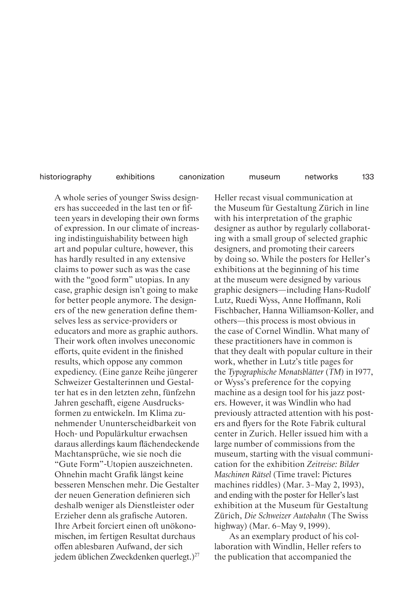133

A whole series of younger Swiss designers has succeeded in the last ten or fifteen years in developing their own forms of expression. In our climate of increasing indistinguishability between high art and popular culture, however, this has hardly resulted in any extensive claims to power such as was the case with the "good form" utopias. In any case, graphic design isn't going to make for better people anymore. The designers of the new generation define themselves less as service-providers or educators and more as graphic authors. Their work often involves uneconomic efforts, quite evident in the finished results, which oppose any common expediency. (Eine ganze Reihe jüngerer Schweizer Gestalterinnen und Gestalter hat es in den letzten zehn, fünfzehn Jahren geschafft, eigene Ausdrucksformen zu entwickeln. Im Klima zunehmender Ununterscheidbarkeit von Hoch- und Populärkultur erwachsen daraus allerdings kaum flächendeckende Machtansprüche, wie sie noch die "Gute Form"-Utopien auszeichneten. Ohnehin macht Grafik längst keine besseren Menschen mehr. Die Gestalter der neuen Generation definieren sich deshalb weniger als Dienstleister oder Erzieher denn als grafische Autoren. Ihre Arbeit forciert einen oft unökonomischen, im fertigen Resultat durchaus offen ablesbaren Aufwand, der sich jedem üblichen Zweckdenken querlegt.)<sup>27</sup> Heller recast visual communication at the Museum für Gestaltung Zürich in line with his interpretation of the graphic designer as author by regularly collaborating with a small group of selected graphic designers, and promoting their careers by doing so. While the posters for Heller's exhibitions at the beginning of his time at the museum were designed by various graphic designers—including Hans-Rudolf Lutz, Ruedi Wyss, Anne Hoffmann, Roli Fischbacher, Hanna Williamson-Koller, and others—this process is most obvious in the case of Cornel Windlin. What many of these practitioners have in common is that they dealt with popular culture in their work, whether in Lutz's title pages for the *Typographische Monatsblätter* (*TM*) in 1977, or Wyss's preference for the copying machine as a design tool for his jazz posters. However, it was Windlin who had previously attracted attention with his posters and flyers for the Rote Fabrik cultural center in Zurich. Heller issued him with a large number of commissions from the museum, starting with the visual communication for the exhibition *Zeitreise: Bilder Maschinen Rätsel* (Time travel: Pictures machines riddles) (Mar. 3–May 2, 1993), and ending with the poster for Heller's last exhibition at the Museum für Gestaltung Zürich, *Die Schweizer Autobahn* (The Swiss highway) (Mar. 6–May 9, 1999).

As an exemplary product of his collaboration with Windlin, Heller refers to the publication that accompanied the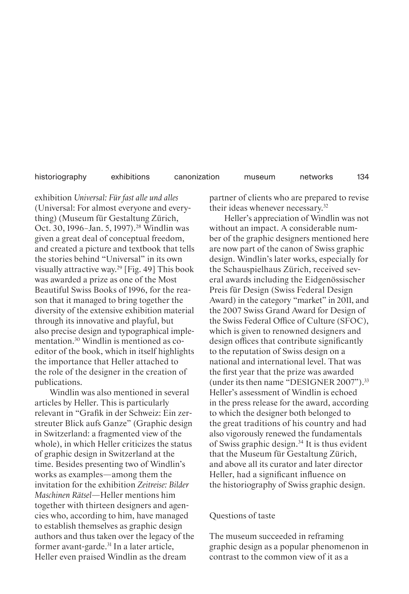exhibition *Universal: Für fast alle und alles* (Universal: For almost everyone and everything) (Museum für Gestaltung Zürich, Oct. 30, 1996–Jan. 5, 1997).<sup>28</sup> Windlin was given a great deal of conceptual freedom, and created a picture and textbook that tells the stories behind "Universal" in its own visually attractive way.29 [Fig. 49] This book was awarded a prize as one of the Most Beautiful Swiss Books of 1996, for the reason that it managed to bring together the diversity of the extensive exhibition material through its innovative and playful, but also precise design and typographical implementation.30 Windlin is mentioned as coeditor of the book, which in itself highlights the importance that Heller attached to the role of the designer in the creation of publications.

Windlin was also mentioned in several articles by Heller. This is particularly relevant in "Grafik in der Schweiz: Ein zerstreuter Blick aufs Ganze" (Graphic design in Switzerland: a fragmented view of the whole), in which Heller criticizes the status of graphic design in Switzerland at the time. Besides presenting two of Windlin's works as examples—among them the invitation for the exhibition *Zeitreise: Bilder Maschinen Rätsel*—Heller mentions him together with thirteen designers and agencies who, according to him, have managed to establish themselves as graphic design authors and thus taken over the legacy of the former avant-garde.31 In a later article, Heller even praised Windlin as the dream

partner of clients who are prepared to revise their ideas whenever necessary.32

Heller's appreciation of Windlin was not without an impact. A considerable number of the graphic designers mentioned here are now part of the canon of Swiss graphic design. Windlin's later works, especially for the Schauspielhaus Zürich, received several awards including the Eidgenössischer Preis für Design (Swiss Federal Design Award) in the category "market" in 2011, and the 2007 Swiss Grand Award for Design of the Swiss Federal Office of Culture (SFOC), which is given to renowned designers and design offices that contribute significantly to the reputation of Swiss design on a national and international level. That was the first year that the prize was awarded (under its then name "DESIGNER 2007").33 Heller's assessment of Windlin is echoed in the press release for the award, according to which the designer both belonged to the great traditions of his country and had also vigorously renewed the fundamentals of Swiss graphic design.34 It is thus evident that the Museum für Gestaltung Zürich, and above all its curator and later director Heller, had a significant influence on the historiography of Swiss graphic design.

### Questions of taste

The museum succeeded in reframing graphic design as a popular phenomenon in contrast to the common view of it as a

134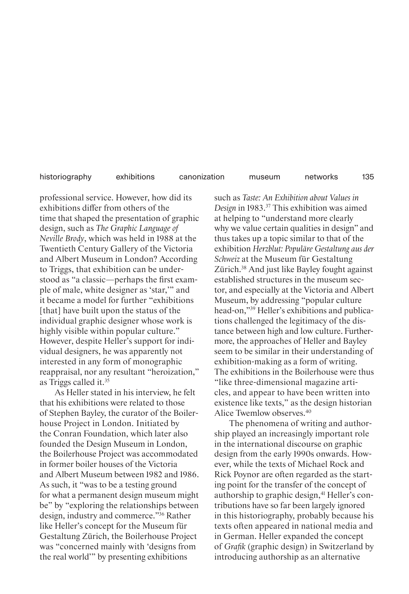135

professional service. However, how did its exhibitions differ from others of the time that shaped the presentation of graphic design, such as *The Graphic Language of Neville Brody*, which was held in 1988 at the Twentieth Century Gallery of the Victoria and Albert Museum in London? According to Triggs, that exhibition can be understood as "a classic—perhaps the first example of male, white designer as 'star,'" and it became a model for further "exhibitions [that] have built upon the status of the individual graphic designer whose work is highly visible within popular culture." However, despite Heller's support for individual designers, he was apparently not interested in any form of monographic reappraisal, nor any resultant "heroization," as Triggs called it.35

As Heller stated in his interview, he felt that his exhibitions were related to those of Stephen Bayley, the curator of the Boilerhouse Project in London. Initiated by the Conran Foundation, which later also founded the Design Museum in London, the Boilerhouse Project was accommodated in former boiler houses of the Victoria and Albert Museum between 1982 and 1986. As such, it "was to be a testing ground for what a permanent design museum might be" by "exploring the relationships between design, industry and commerce."36 Rather like Heller's concept for the Museum für Gestaltung Zürich, the Boilerhouse Project was "concerned mainly with 'designs from the real world'" by presenting exhibitions

such as *Taste: An Exhibition about Values in Design* in 1983. 37 This exhibition was aimed at helping to "understand more clearly why we value certain qualities in design" and thus takes up a topic similar to that of the exhibition *Herzblut: Populäre Gestaltung aus der Schweiz* at the Museum für Gestaltung Zürich.38 And just like Bayley fought against established structures in the museum sector, and especially at the Victoria and Albert Museum, by addressing "popular culture head-on,"39 Heller's exhibitions and publications challenged the legitimacy of the distance between high and low culture. Furthermore, the approaches of Heller and Bayley seem to be similar in their understanding of exhibition-making as a form of writing. The exhibitions in the Boilerhouse were thus "like three-dimensional magazine articles, and appear to have been written into existence like texts," as the design historian Alice Twemlow observes.40

The phenomena of writing and authorship played an increasingly important role in the international discourse on graphic design from the early 1990s onwards. However, while the texts of Michael Rock and Rick Poynor are often regarded as the starting point for the transfer of the concept of authorship to graphic design,<sup>41</sup> Heller's contributions have so far been largely ignored in this historiography, probably because his texts often appeared in national media and in German. Heller expanded the concept of *Grafik* (graphic design) in Switzerland by introducing authorship as an alternative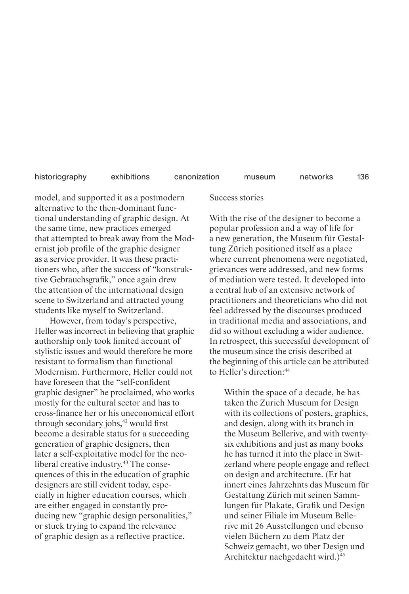136

model, and supported it as a postmodern alternative to the then-dominant functional understanding of graphic design. At the same time, new practices emerged that attempted to break away from the Modernist job profile of the graphic designer as a service provider. It was these practitioners who, after the success of "konstruktive Gebrauchsgrafik," once again drew the attention of the international design scene to Switzerland and attracted young students like myself to Switzerland.

However, from today's perspective, Heller was incorrect in believing that graphic authorship only took limited account of stylistic issues and would therefore be more resistant to formalism than functional Modernism. Furthermore, Heller could not have foreseen that the "self-confident graphic designer" he proclaimed, who works mostly for the cultural sector and has to cross-finance her or his uneconomical effort through secondary jobs,<sup>42</sup> would first become a desirable status for a succeeding generation of graphic designers, then later a self-exploitative model for the neoliberal creative industry.<sup>43</sup> The consequences of this in the education of graphic designers are still evident today, especially in higher education courses, which are either engaged in constantly producing new "graphic design personalities," or stuck trying to expand the relevance of graphic design as a reflective practice.

Success stories

With the rise of the designer to become a popular profession and a way of life for a new generation, the Museum für Gestaltung Zürich positioned itself as a place where current phenomena were negotiated, grievances were addressed, and new forms of mediation were tested. It developed into a central hub of an extensive network of practitioners and theoreticians who did not feel addressed by the discourses produced in traditional media and associations, and did so without excluding a wider audience. In retrospect, this successful development of the museum since the crisis described at the beginning of this article can be attributed to Heller's direction:44

Within the space of a decade, he has taken the Zurich Museum for Design with its collections of posters, graphics, and design, along with its branch in the Museum Bellerive, and with twentysix exhibitions and just as many books he has turned it into the place in Switzerland where people engage and reflect on design and architecture. (Er hat innert eines Jahrzehnts das Museum für Gestaltung Zürich mit seinen Sammlungen für Plakate, Grafik und Design und seiner Filiale im Museum Bellerive mit 26 Ausstellungen und ebenso vielen Büchern zu dem Platz der Schweiz gemacht, wo über Design und Architektur nachgedacht wird.)45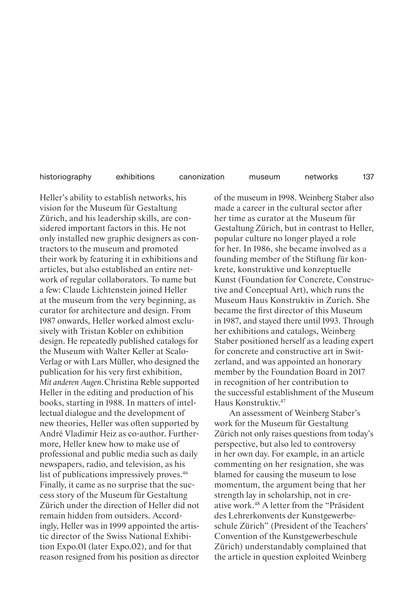137

Heller's ability to establish networks, his vision for the Museum für Gestaltung Zürich, and his leadership skills, are considered important factors in this. He not only installed new graphic designers as contractors to the museum and promoted their work by featuring it in exhibitions and articles, but also established an entire network of regular collaborators. To name but a few: Claude Lichtenstein joined Heller at the museum from the very beginning, as curator for architecture and design. From 1987 onwards, Heller worked almost exclusively with Tristan Kobler on exhibition design. He repeatedly published catalogs for the Museum with Walter Keller at Scalo-Verlag or with Lars Müller, who designed the publication for his very first exhibition, *Mit anderen Augen*. Christina Reble supported Heller in the editing and production of his books, starting in 1988. In matters of intellectual dialogue and the development of new theories, Heller was often supported by André Vladimir Heiz as co-author. Furthermore, Heller knew how to make use of professional and public media such as daily newspapers, radio, and television, as his list of publications impressively proves.<sup>46</sup> Finally, it came as no surprise that the success story of the Museum für Gestaltung Zürich under the direction of Heller did not remain hidden from outsiders. Accordingly, Heller was in 1999 appointed the artistic director of the Swiss National Exhibition Expo.01 (later Expo.02), and for that reason resigned from his position as director

of the museum in 1998. Weinberg Staber also made a career in the cultural sector after her time as curator at the Museum für Gestaltung Zürich, but in contrast to Heller, popular culture no longer played a role for her. In 1986, she became involved as a founding member of the Stiftung für konkrete, konstruktive und konzeptuelle Kunst (Foundation for Concrete, Constructive and Conceptual Art), which runs the Museum Haus Konstruktiv in Zurich. She became the first director of this Museum in 1987, and stayed there until 1993. Through her exhibitions and catalogs, Weinberg Staber positioned herself as a leading expert for concrete and constructive art in Switzerland, and was appointed an honorary member by the Foundation Board in 2017 in recognition of her contribution to the successful establishment of the Museum Haus Konstruktiv.47

An assessment of Weinberg Staber's work for the Museum für Gestaltung Zürich not only raises questions from today's perspective, but also led to controversy in her own day. For example, in an article commenting on her resignation, she was blamed for causing the museum to lose momentum, the argument being that her strength lay in scholarship, not in creative work.48 A letter from the "Präsident des Lehrerkonvents der Kunstgewerbeschule Zürich" (President of the Teachers' Convention of the Kunstgewerbeschule Zürich) understandably complained that the article in question exploited Weinberg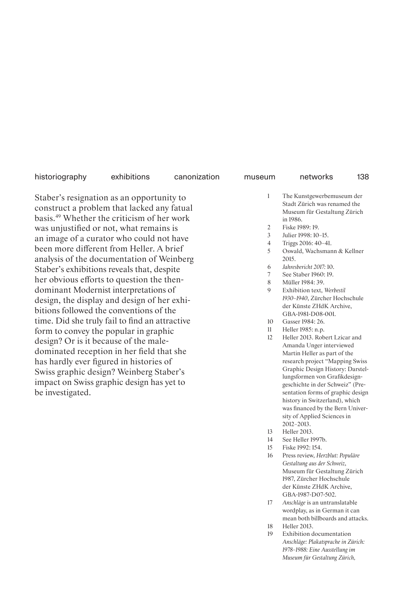Staber's resignation as an opportunity to construct a problem that lacked any fatual basis.49 Whether the criticism of her work was unjustified or not, what remains is an image of a curator who could not have been more different from Heller. A brief analysis of the documentation of Weinberg Staber's exhibitions reveals that, despite her obvious efforts to question the thendominant Modernist interpretations of design, the display and design of her exhibitions followed the conventions of the time. Did she truly fail to find an attractive form to convey the popular in graphic design? Or is it because of the maledominated reception in her field that she has hardly ever figured in histories of Swiss graphic design? Weinberg Staber's impact on Swiss graphic design has yet to be investigated.

138

- 1 The Kunstgewerbemuseum der Stadt Zürich was renamed the Museum für Gestaltung Zürich in 1986.
- 2 Fiske 1989: 19.
- 3 Julier 1998: 10–15.
- 4 Triggs 2016: 40–41.
- 5 Oswald, Wachsmann & Kellner 2015.
- 6 *Jahresbericht 2017:* 10.
- 7 See Staber 1960: 19.
- 8 Müller 1984: 39.
- 9 Exhibition text, *Werbestil 1930–1940*, Zürcher Hochschule der Künste ZHdK Archive, GBA-1981-D08-001.
- 10 Gasser 1984: 26.
- 11 Heller 1985: n.p.
- 12 Heller 2013. Robert Lzicar and Amanda Unger interviewed Martin Heller as part of the research project "Mapping Swiss Graphic Design History: Darstellungsformen von Grafikdesigngeschichte in der Schweiz" (Presentation forms of graphic design history in Switzerland), which was financed by the Bern University of Applied Sciences in 2012–2013.
- 13 Heller 2013.
- 14 See Heller 1997b.
- 15 Fiske 1992: 154.
- 16 Press review, *Herzblut: Populäre Gestaltung aus der Schweiz*, Museum für Gestaltung Zürich 1987, Zürcher Hochschule der Künste ZHdK Archive, GBA-1987-D07-502.
- 17 *Anschläge* is an untranslatable wordplay, as in German it can mean both billboards and attacks.
- 18 Heller 2013.
- 19 Exhibition documentation *Anschläge: Plakatsprache in Zürich: 1978–1988: Eine Ausstellung im Museum für Gestaltung Zürich,*